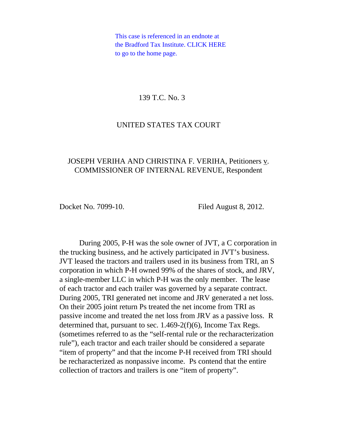This case is referenced in an endnote at [the Bradford Tax Institute. CLICK HERE](http://bradfordtaxinstitute.com/index1.aspx)  to go to the home page.

## 139 T.C. No. 3

## UNITED STATES TAX COURT

# JOSEPH VERIHA AND CHRISTINA F. VERIHA, Petitioners v. COMMISSIONER OF INTERNAL REVENUE, Respondent

Docket No. 7099-10. Filed August 8, 2012.

During 2005, P-H was the sole owner of JVT, a C corporation in the trucking business, and he actively participated in JVT's business. JVT leased the tractors and trailers used in its business from TRI, an S corporation in which P-H owned 99% of the shares of stock, and JRV, a single-member LLC in which P-H was the only member. The lease of each tractor and each trailer was governed by a separate contract. During 2005, TRI generated net income and JRV generated a net loss. On their 2005 joint return Ps treated the net income from TRI as passive income and treated the net loss from JRV as a passive loss. R determined that, pursuant to sec. 1.469-2(f)(6), Income Tax Regs. (sometimes referred to as the "self-rental rule or the recharacterization rule"), each tractor and each trailer should be considered a separate "item of property" and that the income P-H received from TRI should be recharacterized as nonpassive income. Ps contend that the entire collection of tractors and trailers is one "item of property".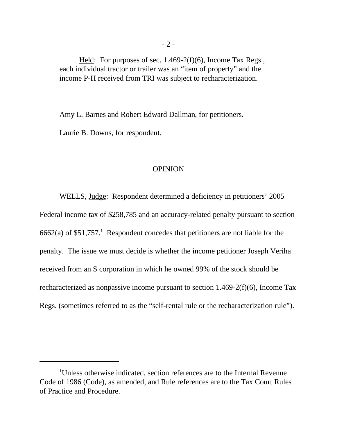Held: For purposes of sec. 1.469-2(f)(6), Income Tax Regs., each individual tractor or trailer was an "item of property" and the income P-H received from TRI was subject to recharacterization.

Amy L. Barnes and Robert Edward Dallman, for petitioners.

Laurie B. Downs, for respondent.

### OPINION

WELLS, Judge: Respondent determined a deficiency in petitioners' 2005 Federal income tax of \$258,785 and an accuracy-related penalty pursuant to section  $6662(a)$  of \$51,757.<sup>1</sup> Respondent concedes that petitioners are not liable for the penalty. The issue we must decide is whether the income petitioner Joseph Veriha received from an S corporation in which he owned 99% of the stock should be recharacterized as nonpassive income pursuant to section 1.469-2(f)(6), Income Tax Regs. (sometimes referred to as the "self-rental rule or the recharacterization rule").

<sup>&</sup>lt;sup>1</sup>Unless otherwise indicated, section references are to the Internal Revenue Code of 1986 (Code), as amended, and Rule references are to the Tax Court Rules of Practice and Procedure.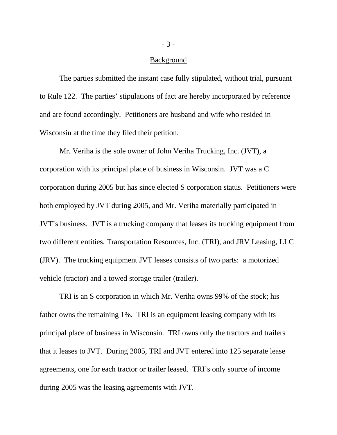#### **Background**

The parties submitted the instant case fully stipulated, without trial, pursuant to Rule 122. The parties' stipulations of fact are hereby incorporated by reference and are found accordingly. Petitioners are husband and wife who resided in Wisconsin at the time they filed their petition.

Mr. Veriha is the sole owner of John Veriha Trucking, Inc. (JVT), a corporation with its principal place of business in Wisconsin. JVT was a C corporation during 2005 but has since elected S corporation status. Petitioners were both employed by JVT during 2005, and Mr. Veriha materially participated in JVT's business. JVT is a trucking company that leases its trucking equipment from two different entities, Transportation Resources, Inc. (TRI), and JRV Leasing, LLC (JRV). The trucking equipment JVT leases consists of two parts: a motorized vehicle (tractor) and a towed storage trailer (trailer).

TRI is an S corporation in which Mr. Veriha owns 99% of the stock; his father owns the remaining 1%. TRI is an equipment leasing company with its principal place of business in Wisconsin. TRI owns only the tractors and trailers that it leases to JVT. During 2005, TRI and JVT entered into 125 separate lease agreements, one for each tractor or trailer leased. TRI's only source of income during 2005 was the leasing agreements with JVT.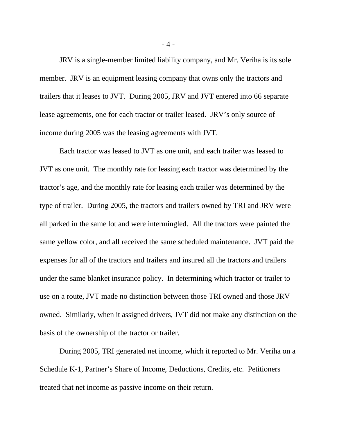JRV is a single-member limited liability company, and Mr. Veriha is its sole member. JRV is an equipment leasing company that owns only the tractors and trailers that it leases to JVT. During 2005, JRV and JVT entered into 66 separate lease agreements, one for each tractor or trailer leased. JRV's only source of income during 2005 was the leasing agreements with JVT.

Each tractor was leased to JVT as one unit, and each trailer was leased to JVT as one unit. The monthly rate for leasing each tractor was determined by the tractor's age, and the monthly rate for leasing each trailer was determined by the type of trailer. During 2005, the tractors and trailers owned by TRI and JRV were all parked in the same lot and were intermingled. All the tractors were painted the same yellow color, and all received the same scheduled maintenance. JVT paid the expenses for all of the tractors and trailers and insured all the tractors and trailers under the same blanket insurance policy. In determining which tractor or trailer to use on a route, JVT made no distinction between those TRI owned and those JRV owned. Similarly, when it assigned drivers, JVT did not make any distinction on the basis of the ownership of the tractor or trailer.

During 2005, TRI generated net income, which it reported to Mr. Veriha on a Schedule K-1, Partner's Share of Income, Deductions, Credits, etc. Petitioners treated that net income as passive income on their return.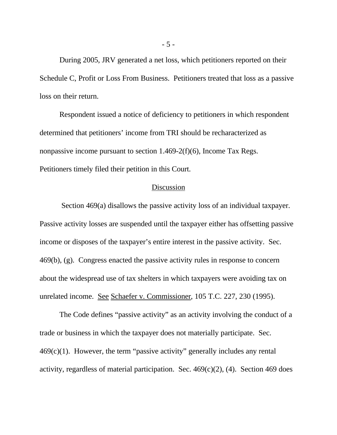During 2005, JRV generated a net loss, which petitioners reported on their Schedule C, Profit or Loss From Business. Petitioners treated that loss as a passive loss on their return.

Respondent issued a notice of deficiency to petitioners in which respondent determined that petitioners' income from TRI should be recharacterized as nonpassive income pursuant to section 1.469-2(f)(6), Income Tax Regs. Petitioners timely filed their petition in this Court.

### Discussion

 Section 469(a) disallows the passive activity loss of an individual taxpayer. Passive activity losses are suspended until the taxpayer either has offsetting passive income or disposes of the taxpayer's entire interest in the passive activity. Sec. 469(b), (g). Congress enacted the passive activity rules in response to concern about the widespread use of tax shelters in which taxpayers were avoiding tax on unrelated income. See Schaefer v. Commissioner, 105 T.C. 227, 230 (1995).

The Code defines "passive activity" as an activity involving the conduct of a trade or business in which the taxpayer does not materially participate. Sec.  $469(c)(1)$ . However, the term "passive activity" generally includes any rental activity, regardless of material participation. Sec.  $469(c)(2)$ , (4). Section 469 does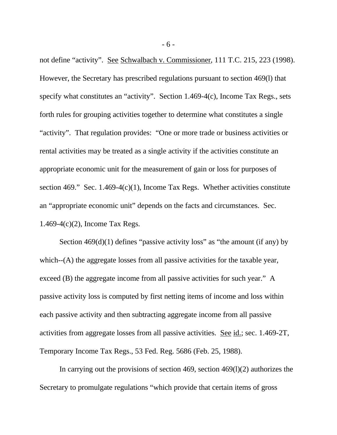not define "activity". See Schwalbach v. Commissioner, 111 T.C. 215, 223 (1998). However, the Secretary has prescribed regulations pursuant to section 469(l) that specify what constitutes an "activity". Section 1.469-4(c), Income Tax Regs., sets forth rules for grouping activities together to determine what constitutes a single "activity". That regulation provides: "One or more trade or business activities or rental activities may be treated as a single activity if the activities constitute an appropriate economic unit for the measurement of gain or loss for purposes of section 469." Sec.  $1.469-4(c)(1)$ , Income Tax Regs. Whether activities constitute an "appropriate economic unit" depends on the facts and circumstances. Sec. 1.469-4(c)(2), Income Tax Regs.

Section  $469(d)(1)$  defines "passive activity loss" as "the amount (if any) by which--(A) the aggregate losses from all passive activities for the taxable year, exceed (B) the aggregate income from all passive activities for such year." A passive activity loss is computed by first netting items of income and loss within each passive activity and then subtracting aggregate income from all passive activities from aggregate losses from all passive activities. See id.; sec. 1.469-2T, Temporary Income Tax Regs., 53 Fed. Reg. 5686 (Feb. 25, 1988).

In carrying out the provisions of section 469, section 469 $(1)(2)$  authorizes the Secretary to promulgate regulations "which provide that certain items of gross

- 6 -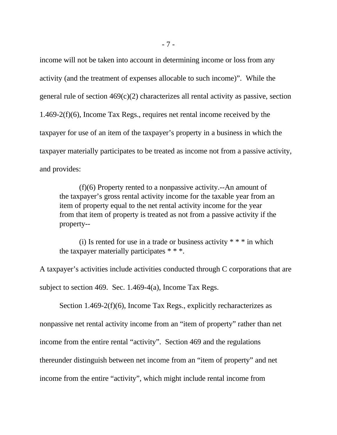income will not be taken into account in determining income or loss from any activity (and the treatment of expenses allocable to such income)". While the general rule of section 469(c)(2) characterizes all rental activity as passive, section 1.469-2(f)(6), Income Tax Regs., requires net rental income received by the taxpayer for use of an item of the taxpayer's property in a business in which the taxpayer materially participates to be treated as income not from a passive activity, and provides:

(f)(6) Property rented to a nonpassive activity.--An amount of the taxpayer's gross rental activity income for the taxable year from an item of property equal to the net rental activity income for the year from that item of property is treated as not from a passive activity if the property--

(i) Is rented for use in a trade or business activity  $**$  in which the taxpayer materially participates \* \* \*.

A taxpayer's activities include activities conducted through C corporations that are subject to section 469. Sec. 1.469-4(a), Income Tax Regs.

Section 1.469-2(f)(6), Income Tax Regs., explicitly recharacterizes as nonpassive net rental activity income from an "item of property" rather than net income from the entire rental "activity". Section 469 and the regulations thereunder distinguish between net income from an "item of property" and net income from the entire "activity", which might include rental income from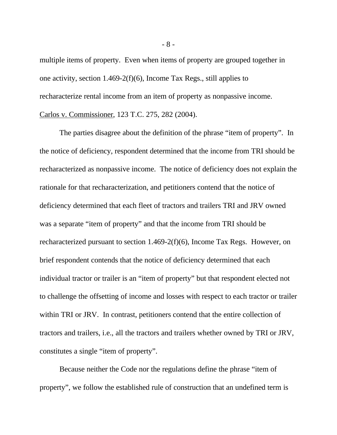multiple items of property. Even when items of property are grouped together in one activity, section 1.469-2(f)(6), Income Tax Regs., still applies to recharacterize rental income from an item of property as nonpassive income. Carlos v. Commissioner, 123 T.C. 275, 282 (2004).

The parties disagree about the definition of the phrase "item of property". In the notice of deficiency, respondent determined that the income from TRI should be recharacterized as nonpassive income. The notice of deficiency does not explain the rationale for that recharacterization, and petitioners contend that the notice of deficiency determined that each fleet of tractors and trailers TRI and JRV owned was a separate "item of property" and that the income from TRI should be recharacterized pursuant to section 1.469-2(f)(6), Income Tax Regs. However, on brief respondent contends that the notice of deficiency determined that each individual tractor or trailer is an "item of property" but that respondent elected not to challenge the offsetting of income and losses with respect to each tractor or trailer within TRI or JRV. In contrast, petitioners contend that the entire collection of tractors and trailers, i.e., all the tractors and trailers whether owned by TRI or JRV, constitutes a single "item of property".

Because neither the Code nor the regulations define the phrase "item of property", we follow the established rule of construction that an undefined term is

- 8 -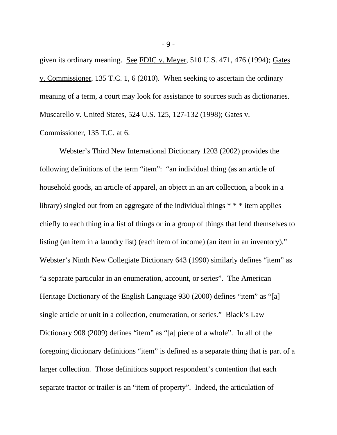given its ordinary meaning. See FDIC v. Meyer, 510 U.S. 471, 476 (1994); Gates v. Commissioner, 135 T.C. 1, 6 (2010). When seeking to ascertain the ordinary meaning of a term, a court may look for assistance to sources such as dictionaries. Muscarello v. United States, 524 U.S. 125, 127-132 (1998); Gates v. Commissioner, 135 T.C. at 6.

Webster's Third New International Dictionary 1203 (2002) provides the following definitions of the term "item": "an individual thing (as an article of household goods, an article of apparel, an object in an art collection, a book in a library) singled out from an aggregate of the individual things \* \* \* item applies chiefly to each thing in a list of things or in a group of things that lend themselves to listing (an item in a laundry list) (each item of income) (an item in an inventory)." Webster's Ninth New Collegiate Dictionary 643 (1990) similarly defines "item" as "a separate particular in an enumeration, account, or series". The American Heritage Dictionary of the English Language 930 (2000) defines "item" as "[a] single article or unit in a collection, enumeration, or series." Black's Law Dictionary 908 (2009) defines "item" as "[a] piece of a whole". In all of the foregoing dictionary definitions "item" is defined as a separate thing that is part of a larger collection. Those definitions support respondent's contention that each separate tractor or trailer is an "item of property". Indeed, the articulation of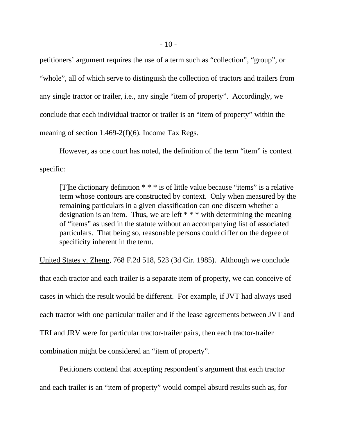petitioners' argument requires the use of a term such as "collection", "group", or "whole", all of which serve to distinguish the collection of tractors and trailers from any single tractor or trailer, i.e., any single "item of property". Accordingly, we conclude that each individual tractor or trailer is an "item of property" within the meaning of section 1.469-2(f)(6), Income Tax Regs.

However, as one court has noted, the definition of the term "item" is context specific:

[T]he dictionary definition  $**$  \* is of little value because "items" is a relative term whose contours are constructed by context. Only when measured by the remaining particulars in a given classification can one discern whether a designation is an item. Thus, we are left  $* * *$  with determining the meaning of "items" as used in the statute without an accompanying list of associated particulars. That being so, reasonable persons could differ on the degree of specificity inherent in the term.

United States v. Zheng, 768 F.2d 518, 523 (3d Cir. 1985). Although we conclude that each tractor and each trailer is a separate item of property, we can conceive of cases in which the result would be different. For example, if JVT had always used each tractor with one particular trailer and if the lease agreements between JVT and TRI and JRV were for particular tractor-trailer pairs, then each tractor-trailer combination might be considered an "item of property".

Petitioners contend that accepting respondent's argument that each tractor and each trailer is an "item of property" would compel absurd results such as, for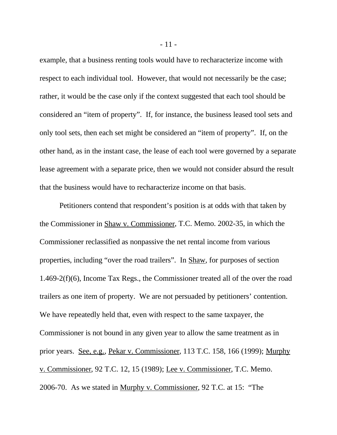example, that a business renting tools would have to recharacterize income with respect to each individual tool. However, that would not necessarily be the case; rather, it would be the case only if the context suggested that each tool should be considered an "item of property". If, for instance, the business leased tool sets and only tool sets, then each set might be considered an "item of property". If, on the other hand, as in the instant case, the lease of each tool were governed by a separate lease agreement with a separate price, then we would not consider absurd the result that the business would have to recharacterize income on that basis.

Petitioners contend that respondent's position is at odds with that taken by the Commissioner in Shaw v. Commissioner, T.C. Memo. 2002-35, in which the Commissioner reclassified as nonpassive the net rental income from various properties, including "over the road trailers". In Shaw, for purposes of section 1.469-2(f)(6), Income Tax Regs., the Commissioner treated all of the over the road trailers as one item of property. We are not persuaded by petitioners' contention. We have repeatedly held that, even with respect to the same taxpayer, the Commissioner is not bound in any given year to allow the same treatment as in prior years. See, e.g., Pekar v. Commissioner, 113 T.C. 158, 166 (1999); Murphy v. Commissioner, 92 T.C. 12, 15 (1989); Lee v. Commissioner, T.C. Memo. 2006-70. As we stated in Murphy v. Commissioner, 92 T.C. at 15: "The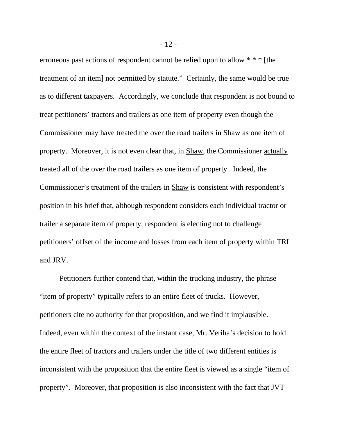erroneous past actions of respondent cannot be relied upon to allow \* \* \* [the treatment of an item] not permitted by statute." Certainly, the same would be true as to different taxpayers. Accordingly, we conclude that respondent is not bound to treat petitioners' tractors and trailers as one item of property even though the Commissioner may have treated the over the road trailers in Shaw as one item of property. Moreover, it is not even clear that, in Shaw, the Commissioner actually treated all of the over the road trailers as one item of property. Indeed, the Commissioner's treatment of the trailers in Shaw is consistent with respondent's position in his brief that, although respondent considers each individual tractor or trailer a separate item of property, respondent is electing not to challenge petitioners' offset of the income and losses from each item of property within TRI and JRV.

Petitioners further contend that, within the trucking industry, the phrase "item of property" typically refers to an entire fleet of trucks. However, petitioners cite no authority for that proposition, and we find it implausible. Indeed, even within the context of the instant case, Mr. Veriha's decision to hold the entire fleet of tractors and trailers under the title of two different entities is inconsistent with the proposition that the entire fleet is viewed as a single "item of property". Moreover, that proposition is also inconsistent with the fact that JVT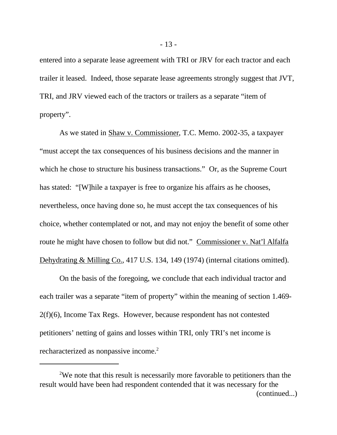entered into a separate lease agreement with TRI or JRV for each tractor and each trailer it leased. Indeed, those separate lease agreements strongly suggest that JVT, TRI, and JRV viewed each of the tractors or trailers as a separate "item of property".

As we stated in Shaw v. Commissioner, T.C. Memo. 2002-35, a taxpayer "must accept the tax consequences of his business decisions and the manner in which he chose to structure his business transactions." Or, as the Supreme Court has stated: "[W]hile a taxpayer is free to organize his affairs as he chooses, nevertheless, once having done so, he must accept the tax consequences of his choice, whether contemplated or not, and may not enjoy the benefit of some other route he might have chosen to follow but did not." Commissioner v. Nat'l Alfalfa Dehydrating & Milling Co., 417 U.S. 134, 149 (1974) (internal citations omitted).

On the basis of the foregoing, we conclude that each individual tractor and each trailer was a separate "item of property" within the meaning of section 1.469- 2(f)(6), Income Tax Regs. However, because respondent has not contested petitioners' netting of gains and losses within TRI, only TRI's net income is recharacterized as nonpassive income.<sup>2</sup>

<sup>2</sup>We note that this result is necessarily more favorable to petitioners than the result would have been had respondent contended that it was necessary for the (continued...)